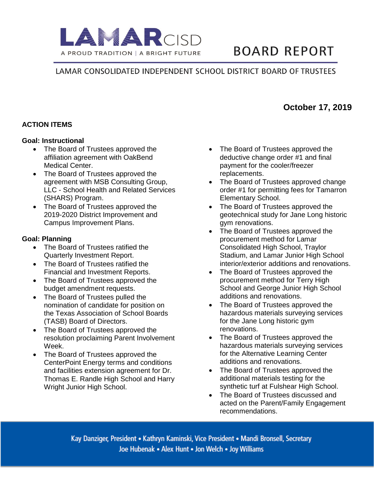

# **BOARD REPORT**

# LAMAR CONSOLIDATED INDEPENDENT SCHOOL DISTRICT BOARD OF TRUSTEES

# **ACTION ITEMS**

#### **Goal: Instructional**

- The Board of Trustees approved the affiliation agreement with OakBend Medical Center.
- The Board of Trustees approved the agreement with MSB Consulting Group, LLC - School Health and Related Services (SHARS) Program.
- The Board of Trustees approved the 2019-2020 District Improvement and Campus Improvement Plans.

#### **Goal: Planning**

- The Board of Trustees ratified the Quarterly Investment Report.
- The Board of Trustees ratified the Financial and Investment Reports.
- The Board of Trustees approved the budget amendment requests.
- The Board of Trustees pulled the nomination of candidate for position on the Texas Association of School Boards (TASB) Board of Directors.
- The Board of Trustees approved the resolution proclaiming Parent Involvement Week.
- The Board of Trustees approved the CenterPoint Energy terms and conditions and facilities extension agreement for Dr. Thomas E. Randle High School and Harry Wright Junior High School.
- The Board of Trustees approved the deductive change order #1 and final payment for the cooler/freezer replacements.
- The Board of Trustees approved change order #1 for permitting fees for Tamarron Elementary School.
- The Board of Trustees approved the geotechnical study for Jane Long historic gym renovations.
- The Board of Trustees approved the procurement method for Lamar Consolidated High School, Traylor Stadium, and Lamar Junior High School interior/exterior additions and renovations.
- The Board of Trustees approved the procurement method for Terry High School and George Junior High School additions and renovations.
- The Board of Trustees approved the hazardous materials surveying services for the Jane Long historic gym renovations.
- The Board of Trustees approved the hazardous materials surveying services for the Alternative Learning Center additions and renovations.
- The Board of Trustees approved the additional materials testing for the synthetic turf at Fulshear High School.
- The Board of Trustees discussed and acted on the Parent/Family Engagement recommendations.

Kay Danziger, President • Kathryn Kaminski, Vice President • Mandi Bronsell, Secretary Joe Hubenak • Alex Hunt • Jon Welch • Joy Williams

# **October 17, 2019**